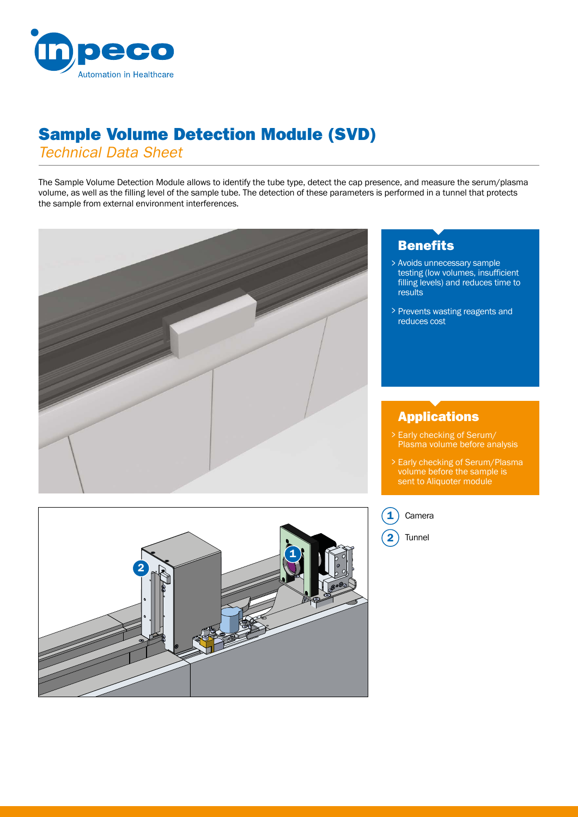

## Sample Volume Detection Module (SVD)

*Technical Data Sheet*

The Sample Volume Detection Module allows to identify the tube type, detect the cap presence, and measure the serum/plasma volume, as well as the filling level of the sample tube. The detection of these parameters is performed in a tunnel that protects the sample from external environment interferences.



### **Benefits**

- Avoids unnecessary sample > testing (low volumes, insufficient filling levels) and reduces time to results
- > Prevents wasting reagents and reduces cost

### Applications

- Early checking of Serum/ > Plasma volume before analysis
- > Early checking of Serum/Plasma volume before the sample is sent to Aliquoter module



#### 1 Camera

Tunnel 2